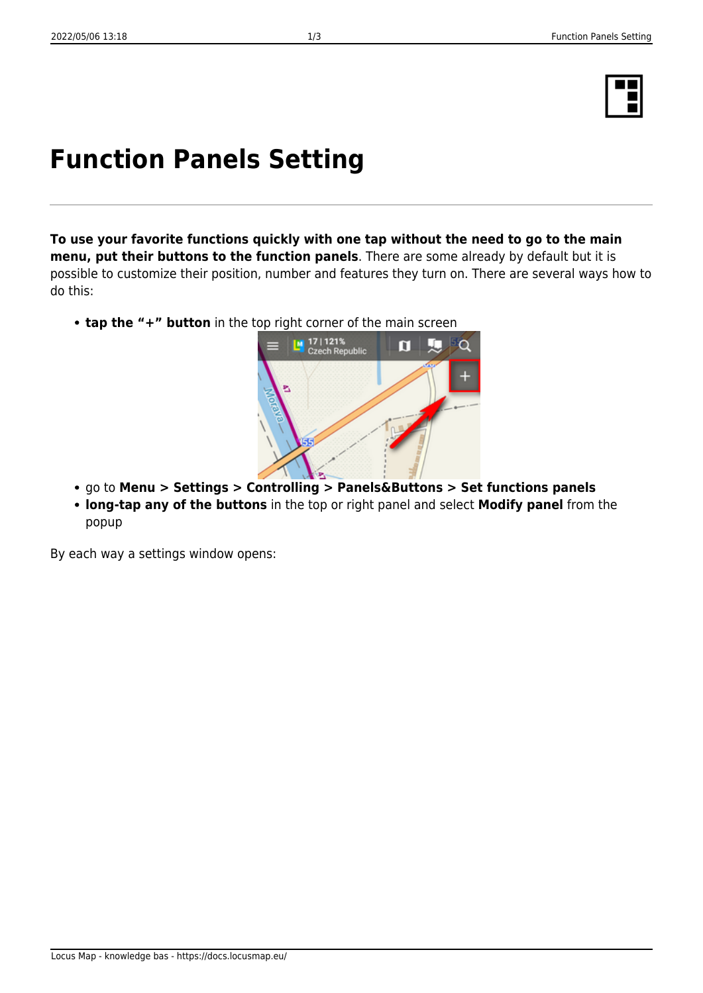## **Function Panels Setting**

**To use your favorite functions quickly with one tap without the need to go to the main menu, put their buttons to the function panels**. There are some already by default but it is possible to customize their position, number and features they turn on. There are several ways how to do this:

- **tap the "+" button** in the top right corner of the main screen
	-

M 17 | 121%<br>Czech Republic

- go to **Menu > Settings > Controlling > Panels&Buttons > Set functions panels**
- **long-tap any of the buttons** in the top or right panel and select **Modify panel** from the popup

By each way a settings window opens:





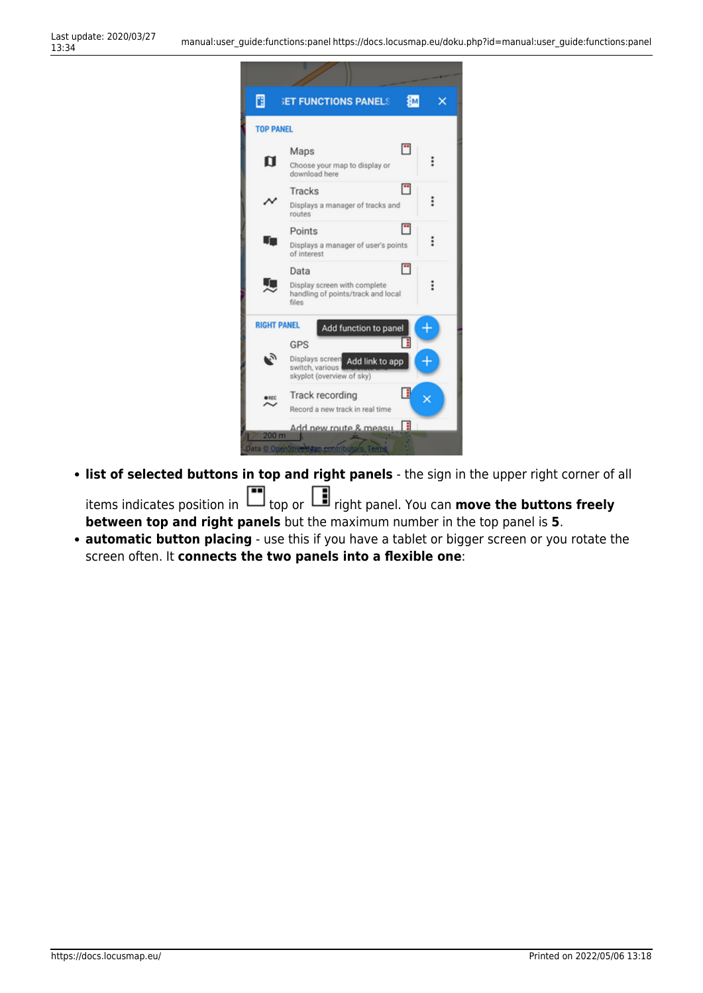

**list of selected buttons in top and right panels** - the sign in the upper right corner of all items indicates position in **the state of the panel.** You can **move the buttons freely** 

**between top and right panels** but the maximum number in the top panel is **5**.

**automatic button placing** - use this if you have a tablet or bigger screen or you rotate the screen often. It **connects the two panels into a flexible one**: